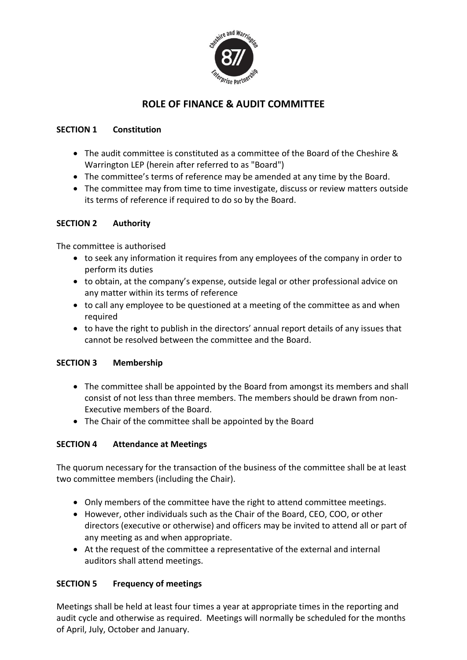

# **ROLE OF FINANCE & AUDIT COMMITTEE**

### **SECTION 1 Constitution**

- The audit committee is constituted as a committee of the Board of the Cheshire & Warrington LEP (herein after referred to as "Board")
- The committee's terms of reference may be amended at any time by the Board.
- The committee may from time to time investigate, discuss or review matters outside its terms of reference if required to do so by the Board.

# **SECTION 2 Authority**

The committee is authorised

- to seek any information it requires from any employees of the company in order to perform its duties
- to obtain, at the company's expense, outside legal or other professional advice on any matter within its terms of reference
- to call any employee to be questioned at a meeting of the committee as and when required
- to have the right to publish in the directors' annual report details of any issues that cannot be resolved between the committee and the Board.

# **SECTION 3 Membership**

- The committee shall be appointed by the Board from amongst its members and shall consist of not less than three members. The members should be drawn from non-Executive members of the Board.
- The Chair of the committee shall be appointed by the Board

# **SECTION 4 Attendance at Meetings**

The quorum necessary for the transaction of the business of the committee shall be at least two committee members (including the Chair).

- Only members of the committee have the right to attend committee meetings.
- However, other individuals such as the Chair of the Board, CEO, COO, or other directors (executive or otherwise) and officers may be invited to attend all or part of any meeting as and when appropriate.
- At the request of the committee a representative of the external and internal auditors shall attend meetings.

# **SECTION 5 Frequency of meetings**

Meetings shall be held at least four times a year at appropriate times in the reporting and audit cycle and otherwise as required. Meetings will normally be scheduled for the months of April, July, October and January.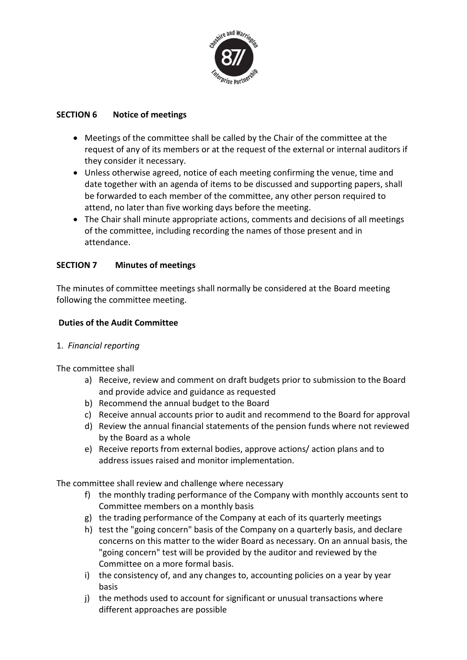

### **SECTION 6 Notice of meetings**

- Meetings of the committee shall be called by the Chair of the committee at the request of any of its members or at the request of the external or internal auditors if they consider it necessary.
- Unless otherwise agreed, notice of each meeting confirming the venue, time and date together with an agenda of items to be discussed and supporting papers, shall be forwarded to each member of the committee, any other person required to attend, no later than five working days before the meeting.
- The Chair shall minute appropriate actions, comments and decisions of all meetings of the committee, including recording the names of those present and in attendance.

### **SECTION 7 Minutes of meetings**

The minutes of committee meetings shall normally be considered at the Board meeting following the committee meeting.

### **Duties of the Audit Committee**

#### 1. *Financial reporting*

The committee shall

- a) Receive, review and comment on draft budgets prior to submission to the Board and provide advice and guidance as requested
- b) Recommend the annual budget to the Board
- c) Receive annual accounts prior to audit and recommend to the Board for approval
- d) Review the annual financial statements of the pension funds where not reviewed by the Board as a whole
- e) Receive reports from external bodies, approve actions/ action plans and to address issues raised and monitor implementation.

The committee shall review and challenge where necessary

- f) the monthly trading performance of the Company with monthly accounts sent to Committee members on a monthly basis
- g) the trading performance of the Company at each of its quarterly meetings
- h) test the "going concern" basis of the Company on a quarterly basis, and declare concerns on this matter to the wider Board as necessary. On an annual basis, the "going concern" test will be provided by the auditor and reviewed by the Committee on a more formal basis.
- i) the consistency of, and any changes to, accounting policies on a year by year basis
- j) the methods used to account for significant or unusual transactions where different approaches are possible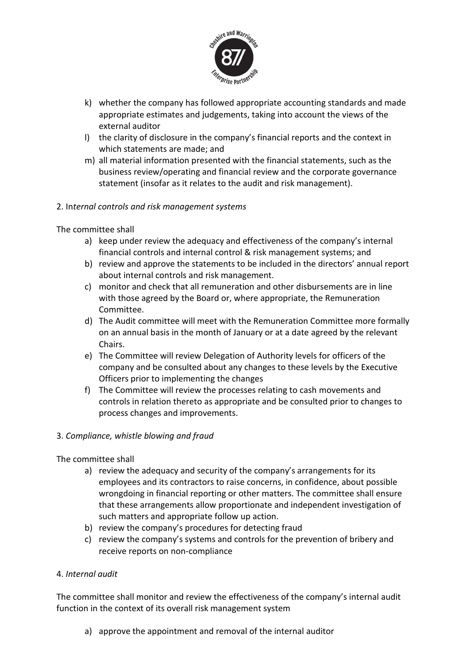

- k) whether the company has followed appropriate accounting standards and made appropriate estimates and judgements, taking into account the views of the external auditor
- l) the clarity of disclosure in the company's financial reports and the context in which statements are made; and
- m) all material information presented with the financial statements, such as the business review/operating and financial review and the corporate governance statement (insofar as it relates to the audit and risk management).

#### 2. In*ternal controls and risk management systems*

The committee shall

- a) keep under review the adequacy and effectiveness of the company's internal financial controls and internal control & risk management systems; and
- b) review and approve the statements to be included in the directors' annual report about internal controls and risk management.
- c) monitor and check that all remuneration and other disbursements are in line with those agreed by the Board or, where appropriate, the Remuneration Committee.
- d) The Audit committee will meet with the Remuneration Committee more formally on an annual basis in the month of January or at a date agreed by the relevant Chairs.
- e) The Committee will review Delegation of Authority levels for officers of the company and be consulted about any changes to these levels by the Executive Officers prior to implementing the changes
- f) The Committee will review the processes relating to cash movements and controls in relation thereto as appropriate and be consulted prior to changes to process changes and improvements.

#### 3. *Compliance, whistle blowing and fraud*

The committee shall

- a) review the adequacy and security of the company's arrangements for its employees and its contractors to raise concerns, in confidence, about possible wrongdoing in financial reporting or other matters. The committee shall ensure that these arrangements allow proportionate and independent investigation of such matters and appropriate follow up action.
- b) review the company's procedures for detecting fraud
- c) review the company's systems and controls for the prevention of bribery and receive reports on non-compliance

#### 4. *Internal audit*

The committee shall monitor and review the effectiveness of the company's internal audit function in the context of its overall risk management system

a) approve the appointment and removal of the internal auditor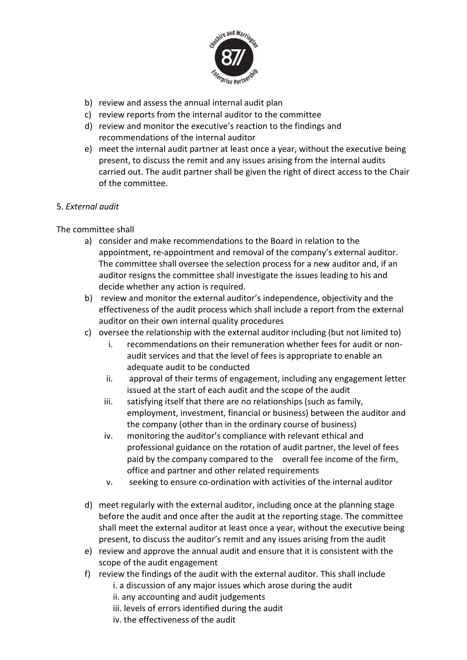

- b) review and assess the annual internal audit plan
- c) review reports from the internal auditor to the committee
- d) review and monitor the executive's reaction to the findings and recommendations of the internal auditor
- e) meet the internal audit partner at least once a year, without the executive being present, to discuss the remit and any issues arising from the internal audits carried out. The audit partner shall be given the right of direct access to the Chair of the committee.

#### 5. *External audit*

#### The committee shall

- a) consider and make recommendations to the Board in relation to the appointment, re-appointment and removal of the company's external auditor. The committee shall oversee the selection process for a new auditor and, if an auditor resigns the committee shall investigate the issues leading to his and decide whether any action is required.
- b) review and monitor the external auditor's independence, objectivity and the effectiveness of the audit process which shall include a report from the external auditor on their own internal quality procedures
- c) oversee the relationship with the external auditor including (but not limited to)
	- i. recommendations on their remuneration whether fees for audit or nonaudit services and that the level of fees is appropriate to enable an adequate audit to be conducted
	- ii. approval of their terms of engagement, including any engagement letter issued at the start of each audit and the scope of the audit
	- iii. satisfying itself that there are no relationships (such as family, employment, investment, financial or business) between the auditor and the company (other than in the ordinary course of business)
	- iv. monitoring the auditor's compliance with relevant ethical and professional guidance on the rotation of audit partner, the level of fees paid by the company compared to the overall fee income of the firm, office and partner and other related requirements
	- v. seeking to ensure co-ordination with activities of the internal auditor
- d) meet regularly with the external auditor, including once at the planning stage before the audit and once after the audit at the reporting stage. The committee shall meet the external auditor at least once a year, without the executive being present, to discuss the auditor's remit and any issues arising from the audit
- e) review and approve the annual audit and ensure that it is consistent with the scope of the audit engagement
- f) review the findings of the audit with the external auditor. This shall include i. a discussion of any major issues which arose during the audit ii. any accounting and audit judgements iii. levels of errors identified during the audit iv. the effectiveness of the audit